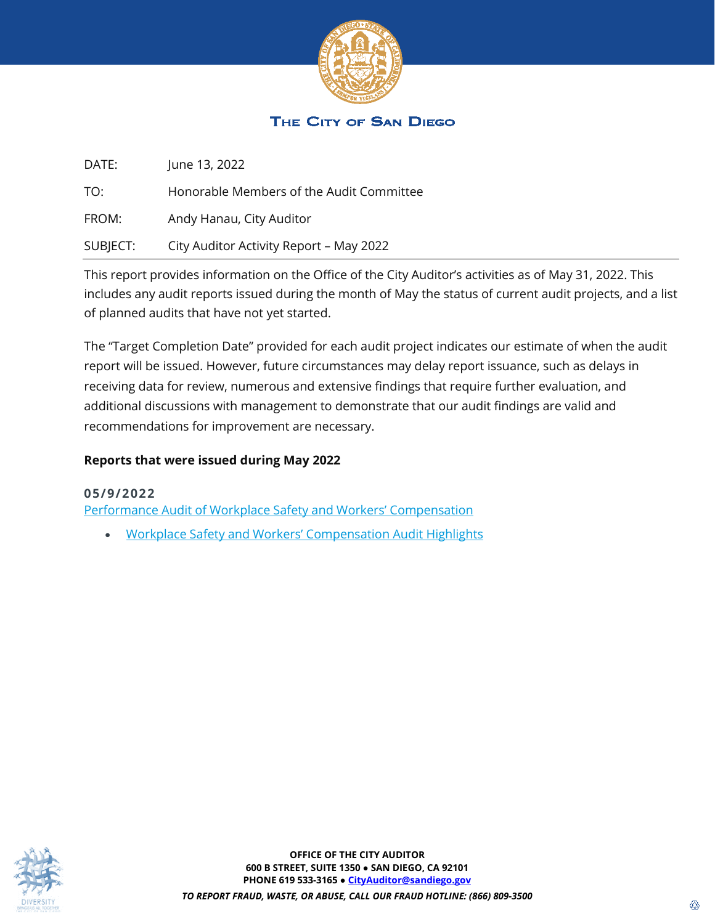

## THE CITY OF SAN DIEGO

| DATE:    | June 13, 2022                            |
|----------|------------------------------------------|
| TO:      | Honorable Members of the Audit Committee |
| FROM:    | Andy Hanau, City Auditor                 |
| SUBJECT: | City Auditor Activity Report - May 2022  |

This report provides information on the Office of the City Auditor's activities as of May 31, 2022. This includes any audit reports issued during the month of May the status of current audit projects, and a list of planned audits that have not yet started.

The "Target Completion Date" provided for each audit project indicates our estimate of when the audit report will be issued. However, future circumstances may delay report issuance, such as delays in receiving data for review, numerous and extensive findings that require further evaluation, and additional discussions with management to demonstrate that our audit findings are valid and recommendations for improvement are necessary.

#### **Reports that were issued during May 2022**

#### **05/9/2022**

[Performance Audit of Workplace Safety and Workers' Compensation](https://www.sandiego.gov/sites/default/files/22-008_workplace_safety_workers_comp.pdf)

• [Workplace Safety and Workers' Compensation Audit Highlights](https://www.sandiego.gov/sites/default/files/22-008_workplace_safety_workers_comp_highlights.pdf)

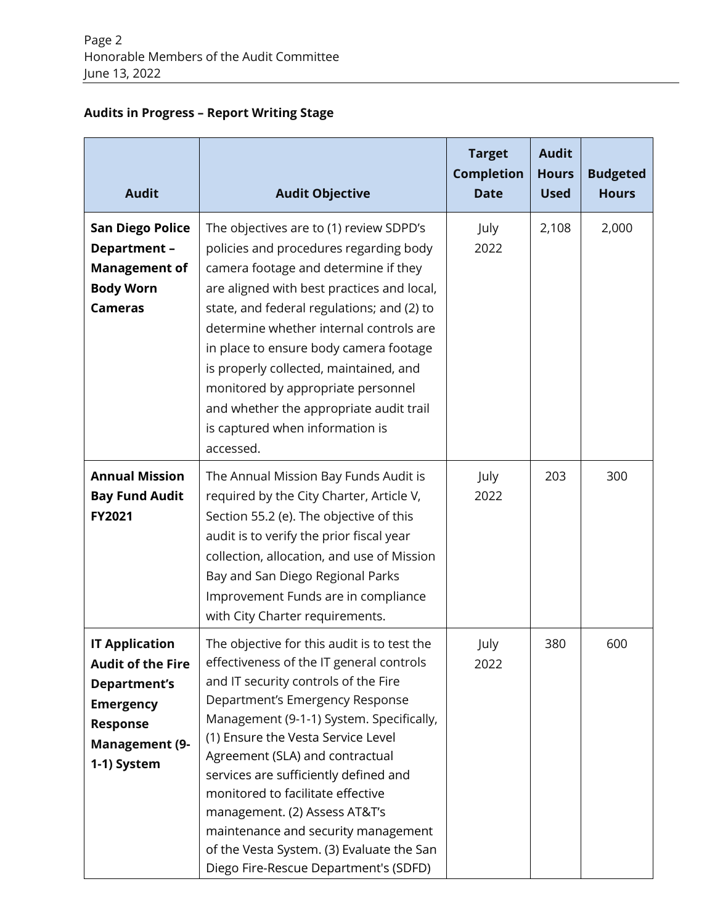## **Audits in Progress – Report Writing Stage**

| <b>Audit</b>                                                                                                                                            | <b>Audit Objective</b>                                                                                                                                                                                                                                                                                                                                                                                                                                                                                                              | <b>Target</b><br><b>Completion</b><br><b>Date</b> | <b>Audit</b><br><b>Hours</b><br><b>Used</b> | <b>Budgeted</b><br><b>Hours</b> |
|---------------------------------------------------------------------------------------------------------------------------------------------------------|-------------------------------------------------------------------------------------------------------------------------------------------------------------------------------------------------------------------------------------------------------------------------------------------------------------------------------------------------------------------------------------------------------------------------------------------------------------------------------------------------------------------------------------|---------------------------------------------------|---------------------------------------------|---------------------------------|
| <b>San Diego Police</b><br>Department-<br><b>Management of</b><br><b>Body Worn</b><br><b>Cameras</b>                                                    | The objectives are to (1) review SDPD's<br>policies and procedures regarding body<br>camera footage and determine if they<br>are aligned with best practices and local,<br>state, and federal regulations; and (2) to<br>determine whether internal controls are<br>in place to ensure body camera footage<br>is properly collected, maintained, and<br>monitored by appropriate personnel<br>and whether the appropriate audit trail<br>is captured when information is<br>accessed.                                               | July<br>2022                                      | 2,108                                       | 2,000                           |
| <b>Annual Mission</b><br><b>Bay Fund Audit</b><br><b>FY2021</b>                                                                                         | The Annual Mission Bay Funds Audit is<br>required by the City Charter, Article V,<br>Section 55.2 (e). The objective of this<br>audit is to verify the prior fiscal year<br>collection, allocation, and use of Mission<br>Bay and San Diego Regional Parks<br>Improvement Funds are in compliance<br>with City Charter requirements.                                                                                                                                                                                                | July<br>2022                                      | 203                                         | 300                             |
| <b>IT Application</b><br><b>Audit of the Fire</b><br><b>Department's</b><br><b>Emergency</b><br><b>Response</b><br><b>Management (9-</b><br>1-1) System | The objective for this audit is to test the<br>effectiveness of the IT general controls<br>and IT security controls of the Fire<br>Department's Emergency Response<br>Management (9-1-1) System. Specifically,<br>(1) Ensure the Vesta Service Level<br>Agreement (SLA) and contractual<br>services are sufficiently defined and<br>monitored to facilitate effective<br>management. (2) Assess AT&T's<br>maintenance and security management<br>of the Vesta System. (3) Evaluate the San<br>Diego Fire-Rescue Department's (SDFD) | July<br>2022                                      | 380                                         | 600                             |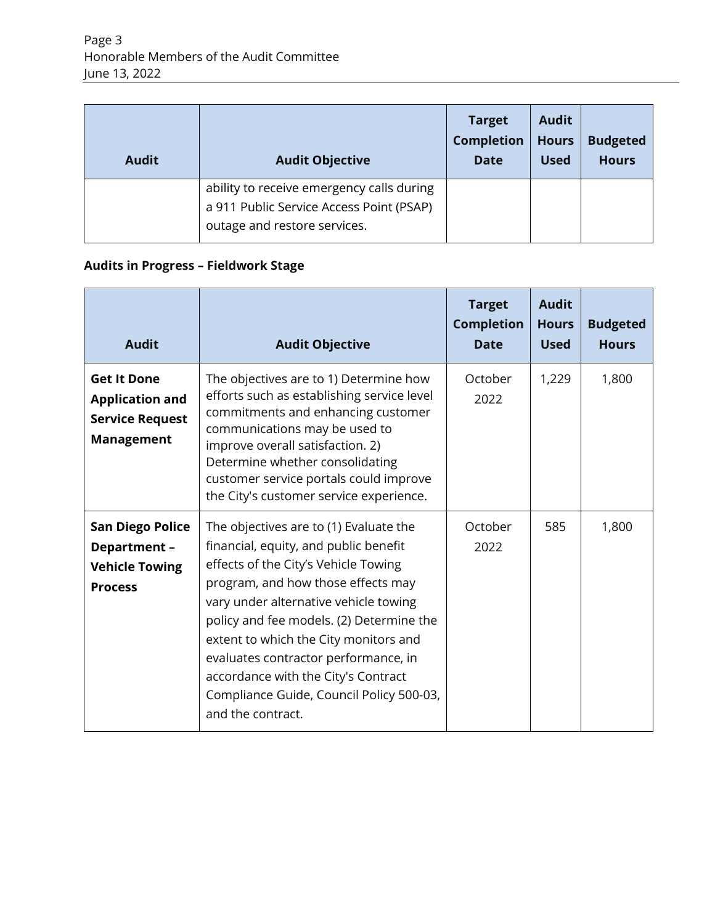| <b>Audit</b> | <b>Audit Objective</b>                                                                                                | <b>Target</b><br><b>Completion</b><br><b>Date</b> | <b>Audit</b><br><b>Hours</b><br><b>Used</b> | <b>Budgeted</b><br><b>Hours</b> |
|--------------|-----------------------------------------------------------------------------------------------------------------------|---------------------------------------------------|---------------------------------------------|---------------------------------|
|              | ability to receive emergency calls during<br>a 911 Public Service Access Point (PSAP)<br>outage and restore services. |                                                   |                                             |                                 |

# **Audits in Progress – Fieldwork Stage**

| <b>Audit</b>                                                                                | <b>Audit Objective</b>                                                                                                                                                                                                                                                                                                                                                                                                                      | <b>Target</b><br><b>Completion</b><br><b>Date</b> | <b>Audit</b><br><b>Hours</b><br><b>Used</b> | <b>Budgeted</b><br><b>Hours</b> |
|---------------------------------------------------------------------------------------------|---------------------------------------------------------------------------------------------------------------------------------------------------------------------------------------------------------------------------------------------------------------------------------------------------------------------------------------------------------------------------------------------------------------------------------------------|---------------------------------------------------|---------------------------------------------|---------------------------------|
| <b>Get It Done</b><br><b>Application and</b><br><b>Service Request</b><br><b>Management</b> | The objectives are to 1) Determine how<br>efforts such as establishing service level<br>commitments and enhancing customer<br>communications may be used to<br>improve overall satisfaction. 2)<br>Determine whether consolidating<br>customer service portals could improve<br>the City's customer service experience.                                                                                                                     | October<br>2022                                   | 1,229                                       | 1,800                           |
| <b>San Diego Police</b><br>Department-<br><b>Vehicle Towing</b><br><b>Process</b>           | The objectives are to (1) Evaluate the<br>financial, equity, and public benefit<br>effects of the City's Vehicle Towing<br>program, and how those effects may<br>vary under alternative vehicle towing<br>policy and fee models. (2) Determine the<br>extent to which the City monitors and<br>evaluates contractor performance, in<br>accordance with the City's Contract<br>Compliance Guide, Council Policy 500-03,<br>and the contract. | October<br>2022                                   | 585                                         | 1,800                           |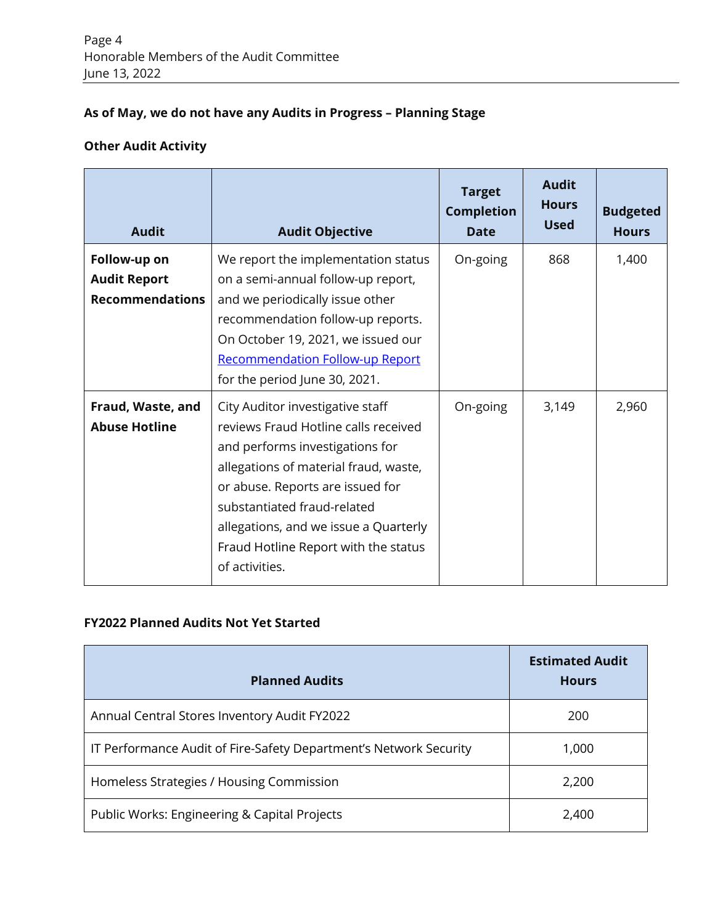## **As of May, we do not have any Audits in Progress – Planning Stage**

## **Other Audit Activity**

| <b>Audit</b>                                                  | <b>Audit Objective</b>                                                                                                                                                                                                                                                                                                     | <b>Target</b><br><b>Completion</b><br><b>Date</b> | <b>Audit</b><br><b>Hours</b><br><b>Used</b> | <b>Budgeted</b><br><b>Hours</b> |
|---------------------------------------------------------------|----------------------------------------------------------------------------------------------------------------------------------------------------------------------------------------------------------------------------------------------------------------------------------------------------------------------------|---------------------------------------------------|---------------------------------------------|---------------------------------|
| Follow-up on<br><b>Audit Report</b><br><b>Recommendations</b> | We report the implementation status<br>on a semi-annual follow-up report,<br>and we periodically issue other<br>recommendation follow-up reports.<br>On October 19, 2021, we issued our<br><b>Recommendation Follow-up Report</b><br>for the period June 30, 2021.                                                         | On-going                                          | 868                                         | 1,400                           |
| Fraud, Waste, and<br><b>Abuse Hotline</b>                     | City Auditor investigative staff<br>reviews Fraud Hotline calls received<br>and performs investigations for<br>allegations of material fraud, waste,<br>or abuse. Reports are issued for<br>substantiated fraud-related<br>allegations, and we issue a Quarterly<br>Fraud Hotline Report with the status<br>of activities. | On-going                                          | 3,149                                       | 2,960                           |

## **FY2022 Planned Audits Not Yet Started**

| <b>Planned Audits</b>                                             | <b>Estimated Audit</b><br><b>Hours</b> |  |  |
|-------------------------------------------------------------------|----------------------------------------|--|--|
| Annual Central Stores Inventory Audit FY2022                      | 200                                    |  |  |
| IT Performance Audit of Fire-Safety Department's Network Security | 1,000                                  |  |  |
| Homeless Strategies / Housing Commission                          | 2,200                                  |  |  |
| Public Works: Engineering & Capital Projects                      | 2,400                                  |  |  |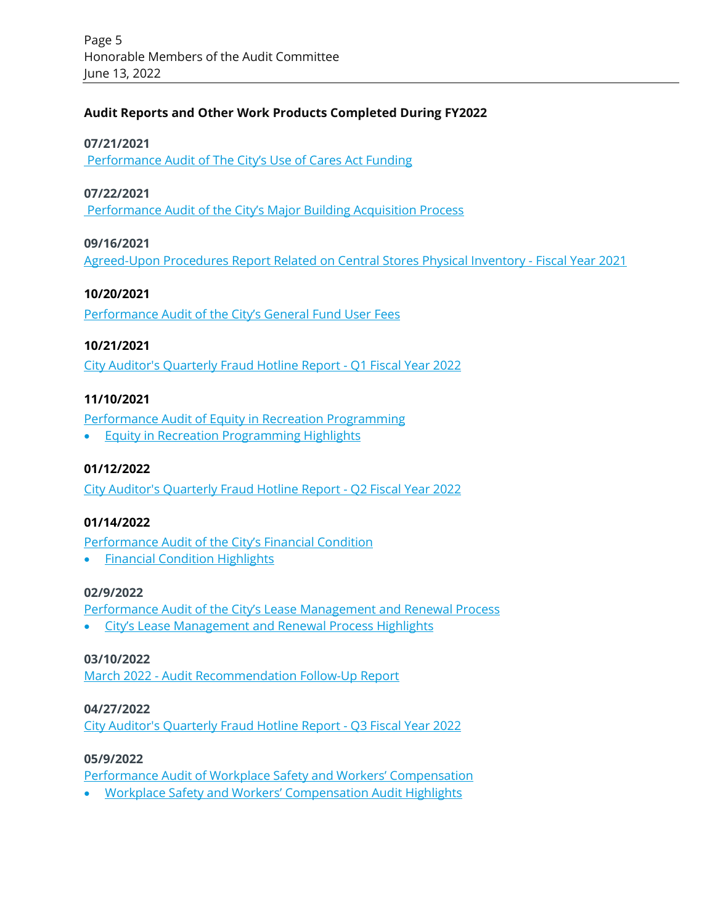### **Audit Reports and Other Work Products Completed During FY2022**

#### **07/21/2021**

[Performance Audit of The City's Use of Cares Act Funding](https://www.sandiego.gov/sites/default/files/22-001_cares_act.pdf)

#### **07/22/2021**

[Performance Audit of the City's Major Building Acquisition Process](https://www.sandiego.gov/sites/default/files/22-002_building_acquisition_process.pdf)

#### **09/16/2021**

[Agreed-Upon Procedures Report Related on Central Stores Physical Inventory -](https://www.sandiego.gov/sites/default/files/22-003_fy21_central_stores_aup.pdf) Fiscal Year 2021

#### **10/20/2021**

[Performance Audit of the City's General Fund User Fees](https://www.sandiego.gov/sites/default/files/22-004_user_fees.pdf)

#### **10/21/2021**

[City Auditor's Quarterly Fraud Hotline Report -](https://www.sandiego.gov/sites/default/files/city_auditors_quarterly_fraud_hotline_report_fiscal_year_2022_qtr1.pdf) Q1 Fiscal Year 2022

#### **11/10/2021**

[Performance Audit of Equity in Recreation Programming](https://www.sandiego.gov/sites/default/files/22-005_equity_recreation_programming.pdf)

• [Equity in Recreation Programming Highlights](https://www.sandiego.gov/sites/default/files/22-005_equity_recreation_programming_highlights_0.pdf)

#### **01/12/2022**

[City Auditor's Quarterly Fraud Hotline Report -](https://www.sandiego.gov/sites/default/files/city_auditors_quarterly_fraud_hotline_report_-_q2_fiscal_year_2022.pdf) Q2 Fiscal Year 2022

#### **01/14/2022**

[Performance Audit of the City's Financial Condition](https://www.sandiego.gov/sites/default/files/22-006_fiscal_condition.pdf)

• [Financial Condition Highlights](https://www.sandiego.gov/sites/default/files/22-006_fiscal_condition_highlights_0.pdf)

#### **02/9/2022**

[Performance Audit of the City's Lease Management and Renewal Process](https://www.sandiego.gov/sites/default/files/22-007_lease_mgmt_renewal_process.pdf)

• [City's Lease Management and Renewal Process Highlights](https://www.sandiego.gov/sites/default/files/citys_lease_management_and_renewal_process_highlights_0.pdf)

#### **03/10/2022**

March 2022 - [Audit Recommendation Follow-Up Report](https://www.sandiego.gov/sites/default/files/recommendation_follow_up_report_ending_december_31_2021.pdf)

#### **04/27/2022**

[City Auditor's Quarterly Fraud Hotline Report -](https://www.sandiego.gov/sites/default/files/city_auditors_quarterly_fraud_hotline_report_fiscal_year_2022_qtr3.pdf) Q3 Fiscal Year 2022

#### **05/9/2022**

[Performance Audit of Workplace Safety and Workers' Compensation](https://www.sandiego.gov/sites/default/files/22-008_workplace_safety_workers_comp.pdf)

• [Workplace Safety and Workers' Compensation Audit Highlights](https://www.sandiego.gov/sites/default/files/22-008_workplace_safety_workers_comp_highlights.pdf)